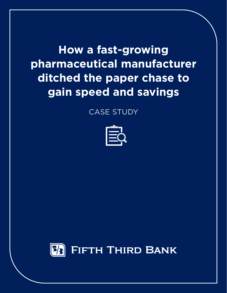**How a fast-growing pharmaceutical manufacturer ditched the paper chase to gain speed and savings**

CASE STUDY



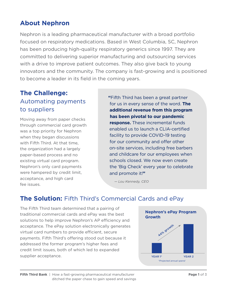# **About Nephron**

Nephron is a leading pharmaceutical manufacturer with a broad portfolio focused on respiratory medications. Based in West Columbia, SC, Nephron has been producing high-quality respiratory generics since 1997. They are committed to delivering superior manufacturing and outsourcing services with a drive to improve patient outcomes. They also give back to young innovators and the community. The company is fast-growing and is positioned to become a leader in its field in the coming years.

# **The Challenge:** Automating payments to suppliers

Moving away from paper checks through commercial card growth was a top priority for Nephron when they began discussions with Fifth Third. At that time, the organization had a largely paper-based process and no existing virtual card program. Nephron's only card payments were hampered by credit limit, acceptance, and high card fee issues.

**"**Fifth Third has been a great partner for us in every sense of the word. **The additional revenue from this program has been pivotal to our pandemic response.** These incremental funds enabled us to launch a CLIA-certified facility to provide COVID-19 testing for our community and offer other on-site services, including free barbers and childcare for our employees when schools closed. We now even create the 'Big Check' every year to celebrate and promote it!**"**

 *— Lou Kennedy, CEO*

# **The Solution:** Fifth Third's Commercial Cards and ePay

The Fifth Third team determined that a pairing of traditional commercial cards and ePay was the best solutions to help improve Nephron's AP efficiency and acceptance. The ePay solution electronically generates virtual card numbers to provide efficient, secure payments. Fifth Third's offering stood out because it addressed the former program's higher fees and credit limit issues, both of which led to expanded supplier acceptance.

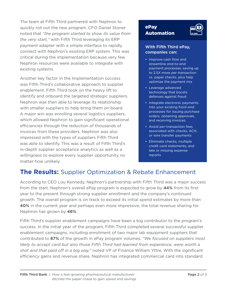The team at Fifth Third partnered with Nephron to quickly roll out the new program. CFO Daniel Stoner noted that *"the program started to show its value from the very start,"* with Fifth Third leveraging its ERP payment adapter with a simple interface to rapidly connect with Nephron's existing ERP system. This was critical during the implementation because very few Nephron resources were available to integrate with existing systems.

Another key factor in the Implementation success was Fifth Third's collaborative approach to supplier enablement. Fifth Third took on the heavy lift to identify and onboard the targeted strategic suppliers. Nephron was then able to leverage its relationship with smaller suppliers to help bring them on board. A major win was enrolling several logistics suppliers, which allowed Nephron to gain significant operational efficiencies through the reduction of thousands of invoices from these providers. Nephron was also impressed with the types of suppliers Fifth Third was able to identify. This was a result of Fifth Third's in-depth supplier acceptance analytics as well as a willingness to explore every supplier opportunity no matter how unlikely.

#### ePay Automation



#### **With Fifth Third ePay, companies can:**

- Improve cash flow and streamline end-to-end payment processes, saving up to 2.5X more per transaction vs. paper checks, plus help optimize the payment mix
- Leverage advanced technology that boosts defenses against fraud
- Integrate electronic payments into your existing front-end processes for issuing purchase orders, obtaining approvals, and receiving invoices
- Avoid per-transaction fees associated with checks, ACH, or wire transfer payments
- Eliminate checks, multiple credit card statements, and late or missing expense reports

## **The Results:** Supplier Optimization & Rebate Enhancement

According to CEO Lou Kennedy, Nephron's partnership with Fifth Third was a major success from the start. Nephron's overall ePay program is expected to grow by **44%** from its frst year to the present through strong supplier enrollment and the company's continued growth. The overall program is on track to exceed its initial spend estimates by more than **40%** in the current year and perhaps even more impressive, the total revenue sharing for Nephron has grown by **46%**.

Fifth Third's supplier enablement campaigns have been a big contributor to the program's success. In the initial year of the program, Fifth Third completed several successful supplier enablement campaigns, including enrollment of two major lab equipment suppliers that contributed to **87%** of the growth in ePay program volumes. *"We focused on suppliers most*  likely to accept card but also those Fifth Third had learned from experience, were worth a shot and that paid off in a big way," noted VP of Finance William Yttre. With the significant efficiency gains and revenue share, Nephron has integrated commercial card into standard